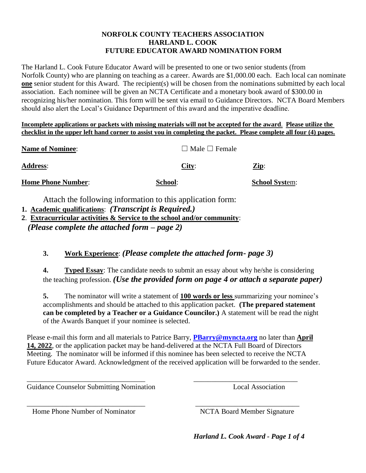#### **NORFOLK COUNTY TEACHERS ASSOCIATION HARLAND L. COOK FUTURE EDUCATOR AWARD NOMINATION FORM**

The Harland L. Cook Future Educator Award will be presented to one or two senior students (from Norfolk County) who are planning on teaching as a career. Awards are \$1,000.00 each. Each local can nominate **one** senior student for this Award. The recipient(s) will be chosen from the nominations submitted by each local association. Each nominee will be given an NCTA Certificate and a monetary book award of \$300.00 in recognizing his/her nomination. This form will be sent via email to Guidance Directors. NCTA Board Members should also alert the Local's Guidance Department of this award and the imperative deadline.

**Incomplete applications or packets with missing materials will not be accepted for the award**. **Please utilize the checklist in the upper left hand corner to assist you in completing the packet. Please complete all four (4) pages.**

| <b>Na<u>me of Nominee</u>:</b> | $\Box$ Male $\Box$ Female |                       |
|--------------------------------|---------------------------|-----------------------|
| <b>Address:</b>                | City:                     | $\mathbf{Zip:}$       |
| <b>Home Phone Number:</b>      | School:                   | <b>School System:</b> |

Attach the following information to this application form:

- **1. Academic qualifications**: *(Transcript is Required.)*
- **2**. **Extracurricular activities & Service to the school and/or community**:  *(Please complete the attached form – page 2)*

### **3. Work Experience**: *(Please complete the attached form- page 3)*

**4. Typed Essay**: The candidate needs to submit an essay about why he/she is considering the teaching profession. *(Use the provided form on page 4 or attach a separate paper)*

**5.** The nominator will write a statement of **100 words or less** summarizing your nominee's accomplishments and should be attached to this application packet. **(The prepared statement can be completed by a Teacher or a Guidance Councilor.)** A statement will be read the night of the Awards Banquet if your nominee is selected.

Please e-mail this form and all materials to Patrice Barry, **PBarry@myncta.org** no later than **April 14, 2022**, or the application packet may be hand-delivered at the NCTA Full Board of Directors Meeting. The nominator will be informed if this nominee has been selected to receive the NCTA Future Educator Award. Acknowledgment of the received application will be forwarded to the sender.

\_\_\_\_\_\_\_\_\_\_\_\_\_\_\_\_\_\_\_\_\_\_\_\_\_\_\_\_\_\_\_\_\_ \_\_\_\_\_\_\_\_\_\_\_\_\_\_\_\_\_\_\_\_\_\_\_\_\_\_\_\_\_

Guidance Counselor Submitting Nomination **Local Association** 

Home Phone Number of Nominator NCTA Board Member Signature

\_\_\_\_\_\_\_\_\_\_\_\_\_\_\_\_\_\_\_\_\_\_\_\_\_\_\_\_\_\_\_\_\_ \_\_\_\_\_\_\_\_\_\_\_\_\_\_\_\_\_\_\_\_\_\_\_\_\_\_\_\_\_

*Harland L. Cook Award - Page 1 of 4*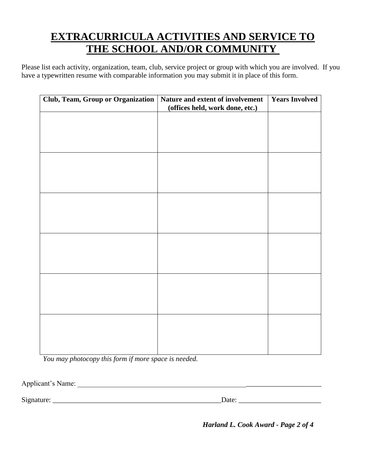## **EXTRACURRICULA ACTIVITIES AND SERVICE TO THE SCHOOL AND/OR COMMUNITY**

Please list each activity, organization, team, club, service project or group with which you are involved. If you have a typewritten resume with comparable information you may submit it in place of this form.

| <b>Club, Team, Group or Organization</b> | Nature and extent of involvement<br>(offices held, work done, etc.) | <b>Years Involved</b> |
|------------------------------------------|---------------------------------------------------------------------|-----------------------|
|                                          |                                                                     |                       |
|                                          |                                                                     |                       |
|                                          |                                                                     |                       |
|                                          |                                                                     |                       |
|                                          |                                                                     |                       |
|                                          |                                                                     |                       |
|                                          |                                                                     |                       |
|                                          |                                                                     |                       |
|                                          |                                                                     |                       |
|                                          |                                                                     |                       |
|                                          |                                                                     |                       |
|                                          |                                                                     |                       |
|                                          |                                                                     |                       |
|                                          |                                                                     |                       |
|                                          |                                                                     |                       |

*You may photocopy this form if more space is needed.* 

Applicant's Name:

Signature: \_\_\_\_\_\_\_\_\_\_\_\_\_\_\_\_\_\_\_\_\_\_\_\_\_\_\_\_\_\_\_\_\_\_\_\_\_\_\_\_\_\_\_\_\_\_\_Date: \_\_\_\_\_\_\_\_\_\_\_\_\_\_\_\_\_\_\_\_\_\_\_

*Harland L. Cook Award - Page 2 of 4*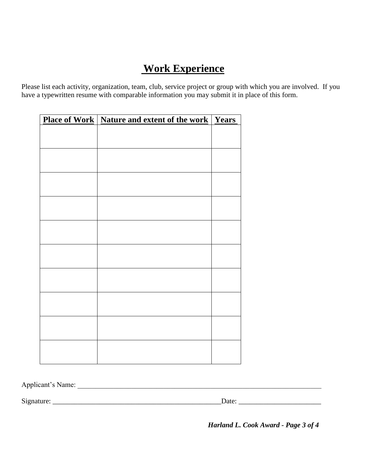# **Work Experience**

Please list each activity, organization, team, club, service project or group with which you are involved. If you have a typewritten resume with comparable information you may submit it in place of this form.

| <b>Place of Work   Nature and extent of the work   Years</b> |  |
|--------------------------------------------------------------|--|
|                                                              |  |
|                                                              |  |
|                                                              |  |
|                                                              |  |
|                                                              |  |
|                                                              |  |
|                                                              |  |
|                                                              |  |
|                                                              |  |
|                                                              |  |
|                                                              |  |
|                                                              |  |
|                                                              |  |
|                                                              |  |
|                                                              |  |
|                                                              |  |
|                                                              |  |
|                                                              |  |
|                                                              |  |
|                                                              |  |
|                                                              |  |
|                                                              |  |
|                                                              |  |

Applicant's Name: \_\_\_\_\_\_\_\_\_\_\_\_\_\_\_\_\_\_\_\_\_\_\_\_\_\_\_\_\_\_\_\_\_\_\_\_\_\_\_\_\_\_\_\_\_\_\_\_\_\_\_\_\_\_\_\_\_\_\_\_\_\_\_\_\_\_\_\_

Signature: \_\_\_\_\_\_\_\_\_\_\_\_\_\_\_\_\_\_\_\_\_\_\_\_\_\_\_\_\_\_\_\_\_\_\_\_\_\_\_\_\_\_\_\_\_\_\_Date: \_\_\_\_\_\_\_\_\_\_\_\_\_\_\_\_\_\_\_\_\_\_\_

 *Harland L. Cook Award - Page 3 of 4*